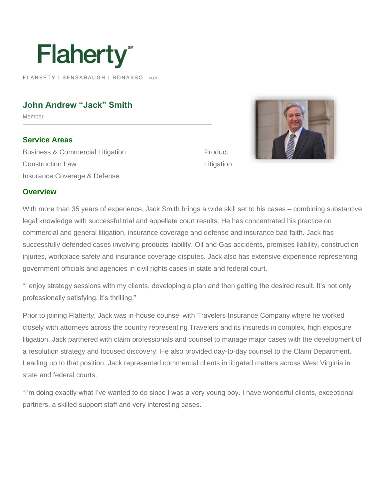

FLAHERTY | SENSABAUGH | BONASSO PLC

## **John Andrew "Jack" Smith**

Member

**Service Areas** Business & Commercial Litigation Construction Law Insurance Coverage & Defense

Product **Litigation** 



# **Overview**

With more than 35 years of experience, Jack Smith brings a wide skill set to his cases – combining substantive legal knowledge with successful trial and appellate court results. He has concentrated his practice on commercial and general litigation, insurance coverage and defense and insurance bad faith. Jack has successfully defended cases involving products liability, Oil and Gas accidents, premises liability, construction injuries, workplace safety and insurance coverage disputes. Jack also has extensive experience representing government officials and agencies in civil rights cases in state and federal court.

"I enjoy strategy sessions with my clients, developing a plan and then getting the desired result. It's not only professionally satisfying, it's thrilling."

Prior to joining Flaherty, Jack was in-house counsel with Travelers Insurance Company where he worked closely with attorneys across the country representing Travelers and its insureds in complex, high exposure litigation. Jack partnered with claim professionals and counsel to manage major cases with the development of a resolution strategy and focused discovery. He also provided day-to-day counsel to the Claim Department. Leading up to that position, Jack represented commercial clients in litigated matters across West Virginia in state and federal courts.

"I'm doing exactly what I've wanted to do since I was a very young boy. I have wonderful clients, exceptional partners, a skilled support staff and very interesting cases."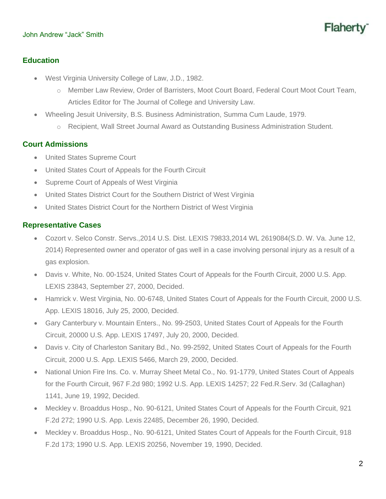#### John Andrew "Jack" Smith

# Flaher

### **Education**

- West Virginia University College of Law, J.D., 1982.
	- o Member Law Review, Order of Barristers, Moot Court Board, Federal Court Moot Court Team, Articles Editor for The Journal of College and University Law.
- Wheeling Jesuit University, B.S. Business Administration, Summa Cum Laude, 1979.
	- o Recipient, Wall Street Journal Award as Outstanding Business Administration Student.

#### **Court Admissions**

- United States Supreme Court
- United States Court of Appeals for the Fourth Circuit
- Supreme Court of Appeals of West Virginia
- United States District Court for the Southern District of West Virginia
- United States District Court for the Northern District of West Virginia

#### **Representative Cases**

- Cozort v. Selco Constr. Servs.,2014 U.S. Dist. LEXIS 79833,2014 WL 2619084(S.D. W. Va. June 12, 2014) Represented owner and operator of gas well in a case involving personal injury as a result of a gas explosion.
- Davis v. White, No. 00-1524, United States Court of Appeals for the Fourth Circuit, 2000 U.S. App. LEXIS 23843, September 27, 2000, Decided.
- Hamrick v. West Virginia, No. 00-6748, United States Court of Appeals for the Fourth Circuit, 2000 U.S. App. LEXIS 18016, July 25, 2000, Decided.
- Gary Canterbury v. Mountain Enters., No. 99-2503, United States Court of Appeals for the Fourth Circuit, 20000 U.S. App. LEXIS 17497, July 20, 2000, Decided.
- Davis v. City of Charleston Sanitary Bd., No. 99-2592, United States Court of Appeals for the Fourth Circuit, 2000 U.S. App. LEXIS 5466, March 29, 2000, Decided.
- National Union Fire Ins. Co. v. Murray Sheet Metal Co., No. 91-1779, United States Court of Appeals for the Fourth Circuit, 967 F.2d 980; 1992 U.S. App. LEXIS 14257; 22 Fed.R.Serv. 3d (Callaghan) 1141, June 19, 1992, Decided.
- Meckley v. Broaddus Hosp., No. 90-6121, United States Court of Appeals for the Fourth Circuit, 921 F.2d 272; 1990 U.S. App. Lexis 22485, December 26, 1990, Decided.
- Meckley v. Broaddus Hosp., No. 90-6121, United States Court of Appeals for the Fourth Circuit, 918 F.2d 173; 1990 U.S. App. LEXIS 20256, November 19, 1990, Decided.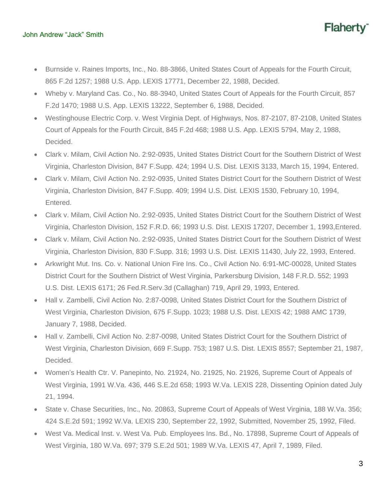#### John Andrew "Jack" Smith

- Burnside v. Raines Imports, Inc., No. 88-3866, United States Court of Appeals for the Fourth Circuit, 865 F.2d 1257; 1988 U.S. App. LEXIS 17771, December 22, 1988, Decided.
- Wheby v. Maryland Cas. Co., No. 88-3940, United States Court of Appeals for the Fourth Circuit, 857 F.2d 1470; 1988 U.S. App. LEXIS 13222, September 6, 1988, Decided.
- Westinghouse Electric Corp. v. West Virginia Dept. of Highways, Nos. 87-2107, 87-2108, United States Court of Appeals for the Fourth Circuit, 845 F.2d 468; 1988 U.S. App. LEXIS 5794, May 2, 1988, Decided.
- Clark v. Milam, Civil Action No. 2:92-0935, United States District Court for the Southern District of West Virginia, Charleston Division, 847 F.Supp. 424; 1994 U.S. Dist. LEXIS 3133, March 15, 1994, Entered.
- Clark v. Milam, Civil Action No. 2:92-0935, United States District Court for the Southern District of West Virginia, Charleston Division, 847 F.Supp. 409; 1994 U.S. Dist. LEXIS 1530, February 10, 1994, Entered.
- Clark v. Milam, Civil Action No. 2:92-0935, United States District Court for the Southern District of West Virginia, Charleston Division, 152 F.R.D. 66; 1993 U.S. Dist. LEXIS 17207, December 1, 1993,Entered.
- Clark v. Milam, Civil Action No. 2:92-0935, United States District Court for the Southern District of West Virginia, Charleston Division, 830 F.Supp. 316; 1993 U.S. Dist. LEXIS 11430, July 22, 1993, Entered.
- Arkwright Mut. Ins. Co. v. National Union Fire Ins. Co., Civil Action No. 6:91-MC-00028, United States District Court for the Southern District of West Virginia, Parkersburg Division, 148 F.R.D. 552; 1993 U.S. Dist. LEXIS 6171; 26 Fed.R.Serv.3d (Callaghan) 719, April 29, 1993, Entered.
- Hall v. Zambelli, Civil Action No. 2:87-0098, United States District Court for the Southern District of West Virginia, Charleston Division, 675 F.Supp. 1023; 1988 U.S. Dist. LEXIS 42; 1988 AMC 1739, January 7, 1988, Decided.
- Hall v. Zambelli, Civil Action No. 2:87-0098, United States District Court for the Southern District of West Virginia, Charleston Division, 669 F.Supp. 753; 1987 U.S. Dist. LEXIS 8557; September 21, 1987, Decided.
- Women's Health Ctr. V. Panepinto, No. 21924, No. 21925, No. 21926, Supreme Court of Appeals of West Virginia, 1991 W.Va. 436, 446 S.E.2d 658; 1993 W.Va. LEXIS 228, Dissenting Opinion dated July 21, 1994.
- State v. Chase Securities, Inc., No. 20863, Supreme Court of Appeals of West Virginia, 188 W.Va. 356; 424 S.E.2d 591; 1992 W.Va. LEXIS 230, September 22, 1992, Submitted, November 25, 1992, Filed.
- West Va. Medical Inst. v. West Va. Pub. Employees Ins. Bd., No. 17898, Supreme Court of Appeals of West Virginia, 180 W.Va. 697; 379 S.E.2d 501; 1989 W.Va. LEXIS 47, April 7, 1989, Filed.

Flaher